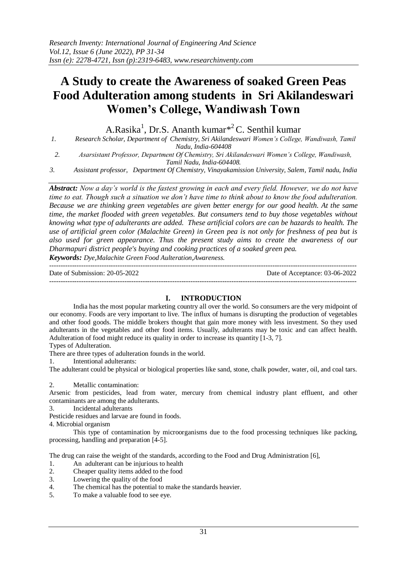# **A Study to create the Awareness of soaked Green Peas Food Adulteration among students in Sri Akilandeswari Women's College, Wandiwash Town**

A.Rasika<sup>1</sup>, Dr.S. Ananth kumar<sup>\*2</sup> C. Senthil kumar

*1. Research Scholar, Department of Chemistry, Sri Akilandeswari Women's College, Wandiwash, Tamil Nadu, India-604408*

*2. Asarsistant Professor, Department Of Chemistry, Sri Akilandeswari Women's College, Wandiwash, Tamil Nadu, India-604408.*

*3. Assistant professor, Department Of Chemistry, Vinayakamission University, Salem, Tamil nadu, India*

*Abstract: Now a day's world is the fastest growing in each and every field. However, we do not have time to eat. Though such a situation we don't have time to think about to know the food adulteration. Because we are thinking green vegetables are given better energy for our good health. At the same time, the market flooded with green vegetables. But consumers tend to buy those vegetables without knowing what type of adulterants are added. These artificial colors are can be hazards to health. The use of artificial green color (Malachite Green) in Green pea is not only for freshness of pea but is also used for green appearance. Thus the present study aims to create the awareness of our Dharmapuri district people's buying and cooking practices of a soaked green pea. Keywords: Dye,Malachite Green Food Aulteration,Awareness.*

---------------------------------------------------------------------------------------------------------------------------------------

Date of Submission: 20-05-2022 Date of Acceptance: 03-06-2022 ---------------------------------------------------------------------------------------------------------------------------------------

# **I. INTRODUCTION**

India has the most popular marketing country all over the world. So consumers are the very midpoint of our economy. Foods are very important to live. The influx of humans is disrupting the production of vegetables and other food goods. The middle brokers thought that gain more money with less investment. So they used adulterants in the vegetables and other food items. Usually, adulterants may be toxic and can affect health. Adulteration of food might reduce its quality in order to increase its quantity [1-3, 7].

Types of Adulteration.

There are three types of adulteration founds in the world.

1. Intentional adulterants:

The adulterant could be physical or biological properties like sand, stone, chalk powder, water, oil, and coal tars.

2. Metallic contamination:

Arsenic from pesticides, lead from water, mercury from chemical industry plant effluent, and other contaminants are among the adulterants.

3. Incidental adulterants

Pesticide residues and larvae are found in foods.

4. Microbial organism

This type of contamination by microorganisms due to the food processing techniques like packing, processing, handling and preparation [4-5].

The drug can raise the weight of the standards, according to the Food and Drug Administration [6],

- 1. An adulterant can be injurious to health
- 2. Cheaper quality items added to the food
- 3. Lowering the quality of the food
- 4. The chemical has the potential to make the standards heavier.
- 5. To make a valuable food to see eye.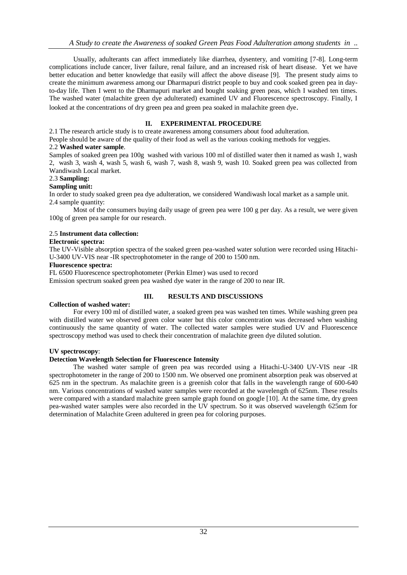Usually, adulterants can affect immediately like diarrhea, dysentery, and vomiting [7-8]. Long-term complications include cancer, liver failure, renal failure, and an increased risk of heart disease. Yet we have better education and better knowledge that easily will affect the above disease [9]. The present study aims to create the minimum awareness among our Dharmapuri district people to buy and cook soaked green pea in dayto-day life. Then I went to the Dharmapuri market and bought soaking green peas, which I washed ten times. The washed water (malachite green dye adulterated) examined UV and Fluorescence spectroscopy. Finally, I looked at the concentrations of dry green pea and green pea soaked in malachite green dye.

# **II. EXPERIMENTAL PROCEDURE**

2.1 The research article study is to create awareness among consumers about food adulteration.

People should be aware of the quality of their food as well as the various cooking methods for veggies.

## 2.2 **Washed water sample**.

Samples of soaked green pea 100g washed with various 100 ml of distilled water then it named as wash 1, wash 2, wash 3, wash 4, wash 5, wash 6, wash 7, wash 8, wash 9, wash 10. Soaked green pea was collected from Wandiwash Local market.

## 2.3 **Sampling:**

## **Sampling unit:**

In order to study soaked green pea dye adulteration, we considered Wandiwash local market as a sample unit. 2.4 sample quantity:

Most of the consumers buying daily usage of green pea were 100 g per day. As a result, we were given 100g of green pea sample for our research.

## 2.5 **Instrument data collection:**

## **Electronic spectra:**

The UV-Visible absorption spectra of the soaked green pea-washed water solution were recorded using Hitachi-U-3400 UV-VIS near -IR spectrophotometer in the range of 200 to 1500 nm.

#### **Fluorescence spectra:**

FL 6500 Fluorescence spectrophotometer (Perkin Elmer) was used to record

Emission spectrum soaked green pea washed dye water in the range of 200 to near IR.

# **Collection of washed water:**

# **III. RESULTS AND DISCUSSIONS**

For every 100 ml of distilled water, a soaked green pea was washed ten times. While washing green pea with distilled water we observed green color water but this color concentration was decreased when washing continuously the same quantity of water. The collected water samples were studied UV and Fluorescence spectroscopy method was used to check their concentration of malachite green dye diluted solution.

## **UV spectroscopy**:

## **Detection Wavelength Selection for Fluorescence Intensity**

The washed water sample of green pea was recorded using a Hitachi-U-3400 UV-VIS near -IR spectrophotometer in the range of 200 to 1500 nm. We observed one prominent absorption peak was observed at 625 nm in the spectrum. As malachite green is a greenish color that falls in the wavelength range of 600-640 nm. Various concentrations of washed water samples were recorded at the wavelength of 625nm. These results were compared with a standard malachite green sample graph found on google [10]. At the same time, dry green pea-washed water samples were also recorded in the UV spectrum. So it was observed wavelength 625nm for determination of Malachite Green adultered in green pea for coloring purposes.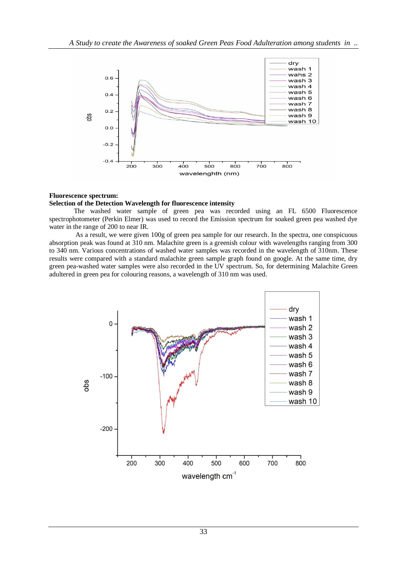

## **Fluorescence spectrum:**

## **Selection of the Detection Wavelength for fluorescence intensity**

The washed water sample of green pea was recorded using an FL 6500 Fluorescence spectrophotometer (Perkin Elmer) was used to record the Emission spectrum for soaked green pea washed dye water in the range of 200 to near IR.

As a result, we were given 100g of green pea sample for our research. In the spectra, one conspicuous absorption peak was found at 310 nm. Malachite green is a greenish colour with wavelengths ranging from 300 to 340 nm. Various concentrations of washed water samples was recorded in the wavelength of 310nm. These results were compared with a standard malachite green sample graph found on google. At the same time, dry green pea-washed water samples were also recorded in the UV spectrum. So, for determining Malachite Green adultered in green pea for colouring reasons, a wavelength of 310 nm was used.